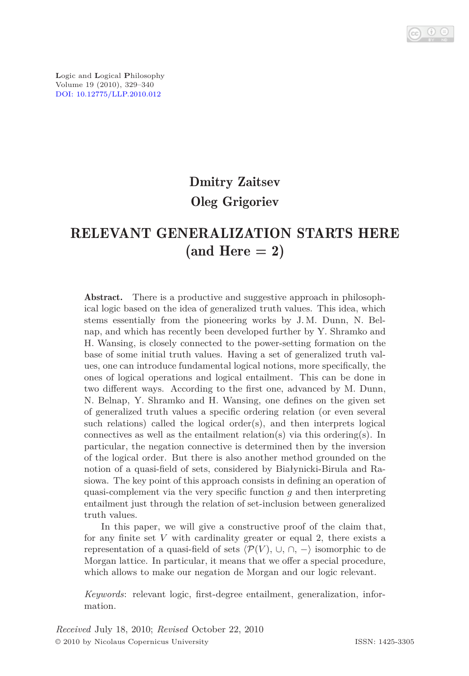

# Dmitry Zaitsev Oleg Grigoriev

## RELEVANT GENERALIZATION STARTS HERE  $(and Here = 2)$

Abstract. There is a productive and suggestive approach in philosophical logic based on the idea of generalized truth values. This idea, which stems essentially from the pioneering works by J. M. Dunn, N. Belnap, and which has recently been developed further by Y. Shramko and H. Wansing, is closely connected to the power-setting formation on the base of some initial truth values. Having a set of generalized truth values, one can introduce fundamental logical notions, more specifically, the ones of logical operations and logical entailment. This can be done in two different ways. According to the first one, advanced by M. Dunn, N. Belnap, Y. Shramko and H. Wansing, one defines on the given set of generalized truth values a specific ordering relation (or even several such relations) called the logical order(s), and then interprets logical connectives as well as the entailment relation(s) via this ordering(s). In particular, the negation connective is determined then by the inversion of the logical order. But there is also another method grounded on the notion of a quasi-field of sets, considered by Białynicki-Birula and Rasiowa. The key point of this approach consists in defining an operation of quasi-complement via the very specific function *g* and then interpreting entailment just through the relation of set-inclusion between generalized truth values.

In this paper, we will give a constructive proof of the claim that, for any finite set *V* with cardinality greater or equal 2, there exists a representation of a quasi-field of sets  $\langle \mathcal{P}(V), \cup, \cap, - \rangle$  isomorphic to de Morgan lattice. In particular, it means that we offer a special procedure, which allows to make our negation de Morgan and our logic relevant.

*Keywords*: relevant logic, first-degree entailment, generalization, information.

*Received* July 18, 2010; *Revised* October 22, 2010 © 2010 by Nicolaus Copernicus University ISSN: 1425-3305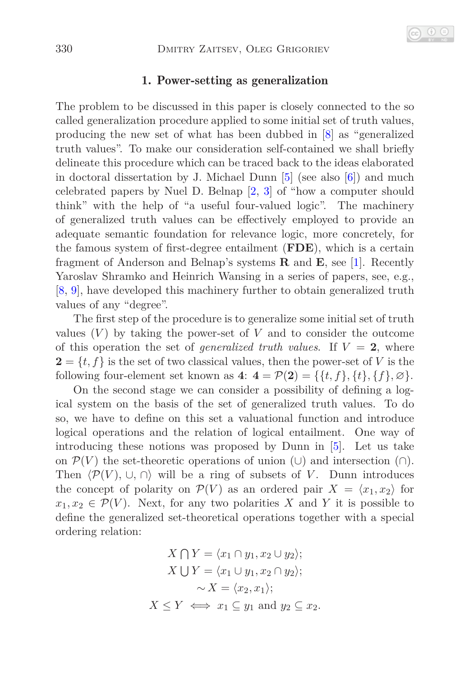### 1. Power-setting as generalization

The problem to be discussed in this paper is closely connected to the so called generalization procedure applied to some initial set of truth values, producing the new set of what has been dubbed in [\[8\]](#page-11-0) as "generalized truth values". To make our consideration self-contained we shall briefly delineate this procedure which can be traced back to the ideas elaborated in doctoral dissertation by J. Michael Dunn [\[5\]](#page-11-1) (see also [\[6\]](#page-11-2)) and much celebrated papers by Nuel D. Belnap [\[2,](#page-11-3) [3\]](#page-11-4) of "how a computer should think" with the help of "a useful four-valued logic". The machinery of generalized truth values can be effectively employed to provide an adequate semantic foundation for relevance logic, more concretely, for the famous system of first-degree entailment (**FDE**), which is a certain fragment of Anderson and Belnap's systems **R** and **E**, see [\[1\]](#page-11-5). Recently Yaroslav Shramko and Heinrich Wansing in a series of papers, see, e.g., [\[8,](#page-11-0) [9\]](#page-11-6), have developed this machinery further to obtain generalized truth values of any "degree".

The first step of the procedure is to generalize some initial set of truth values  $(V)$  by taking the power-set of  $V$  and to consider the outcome of this operation the set of *generalized truth values*. If  $V = 2$ , where  $2 = \{t, f\}$  is the set of two classical values, then the power-set of *V* is the following four-element set known as  $4: 4 = \mathcal{P}(2) = \{ \{t, f\}, \{t\}, \{f\}, \emptyset \}.$ 

On the second stage we can consider a possibility of defining a logical system on the basis of the set of generalized truth values. To do so, we have to define on this set a valuational function and introduce logical operations and the relation of logical entailment. One way of introducing these notions was proposed by Dunn in [\[5\]](#page-11-1). Let us take on  $\mathcal{P}(V)$  the set-theoretic operations of union (∪) and intersection (∩). Then  $\langle \mathcal{P}(V), \cup, \cap \rangle$  will be a ring of subsets of *V*. Dunn introduces the concept of polarity on  $\mathcal{P}(V)$  as an ordered pair  $X = \langle x_1, x_2 \rangle$  for  $x_1, x_2 \in \mathcal{P}(V)$ . Next, for any two polarities *X* and *Y* it is possible to define the generalized set-theoretical operations together with a special ordering relation:

$$
X \cap Y = \langle x_1 \cap y_1, x_2 \cup y_2 \rangle;
$$
  
\n
$$
X \cup Y = \langle x_1 \cup y_1, x_2 \cap y_2 \rangle;
$$
  
\n
$$
\sim X = \langle x_2, x_1 \rangle;
$$
  
\n
$$
X \le Y \iff x_1 \subseteq y_1 \text{ and } y_2 \subseteq x_2.
$$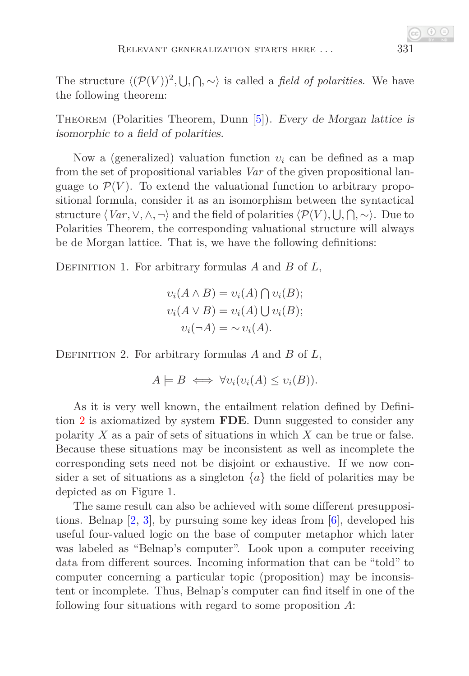The structure  $\langle (\mathcal{P}(V))^2, \bigcup, \bigcap, \sim \rangle$  is called a *field of polarities*. We have the following theorem:

Theorem (Polarities Theorem, Dunn [\[5\]](#page-11-1)). Every de Morgan lattice is isomorphic to a field of polarities.

Now a (generalized) valuation function *υ<sup>i</sup>* can be defined as a map from the set of propositional variables *Var* of the given propositional language to  $\mathcal{P}(V)$ . To extend the valuational function to arbitrary propositional formula, consider it as an isomorphism between the syntactical structure  $\langle Var, \vee, \wedge, \neg \rangle$  and the field of polarities  $\langle \mathcal{P}(V), \bigcup, \bigcap, \sim \rangle$ . Due to Polarities Theorem, the corresponding valuational structure will always be de Morgan lattice. That is, we have the following definitions:

Definition 1. For arbitrary formulas *A* and *B* of *L*,

$$
v_i(A \wedge B) = v_i(A) \cap v_i(B);
$$
  

$$
v_i(A \vee B) = v_i(A) \cup v_i(B);
$$
  

$$
v_i(\neg A) = \sim v_i(A).
$$

<span id="page-2-0"></span>Definition 2. For arbitrary formulas *A* and *B* of *L*,

 $A \models B \iff \forall v_i (v_i(A) \leq v_i(B)).$ 

As it is very well known, the entailment relation defined by Definition [2](#page-2-0) is axiomatized by system **FDE**. Dunn suggested to consider any polarity *X* as a pair of sets of situations in which *X* can be true or false. Because these situations may be inconsistent as well as incomplete the corresponding sets need not be disjoint or exhaustive. If we now consider a set of situations as a singleton  $\{a\}$  the field of polarities may be depicted as on Figure 1.

The same result can also be achieved with some different presuppositions. Belnap [\[2,](#page-11-3) [3\]](#page-11-4), by pursuing some key ideas from [\[6\]](#page-11-2), developed his useful four-valued logic on the base of computer metaphor which later was labeled as "Belnap's computer". Look upon a computer receiving data from different sources. Incoming information that can be "told" to computer concerning a particular topic (proposition) may be inconsistent or incomplete. Thus, Belnap's computer can find itself in one of the following four situations with regard to some proposition *A*: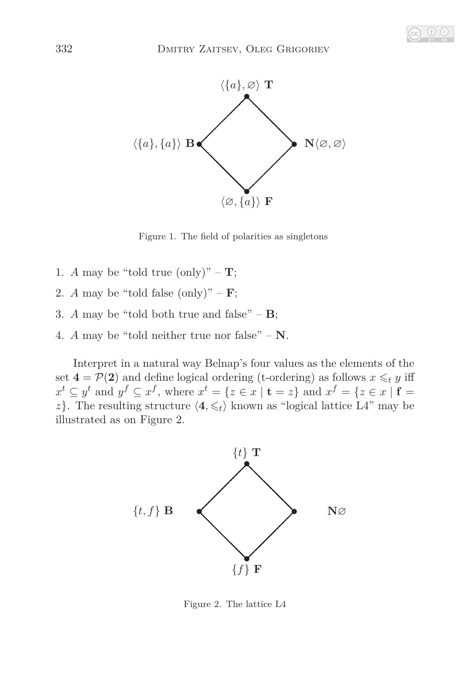

Figure 1. The field of polarities as singletons

- 1. *A* may be "told true (only)" **T**;
- 2. *A* may be "told false (only)"  $\mathbf{F}$ ;
- 3. *A* may be "told both true and false"  $-$  **B**;
- 4. *A* may be "told neither true nor false" **N**.

Interpret in a natural way Belnap's four values as the elements of the set  $4 = \mathcal{P}(2)$  and define logical ordering (t-ordering) as follows  $x \leq_t y$  iff  $x^t \subseteq y^t$  and  $y^f \subseteq x^f$ , where  $x^t = \{z \in x \mid \mathbf{t} = z\}$  and  $x^f = \{z \in x \mid \mathbf{f} = z\}$ *z*}. The resulting structure  $\langle 4, \leq t \rangle$  known as "logical lattice L4" may be illustrated as on Figure 2.



Figure 2. The lattice L4

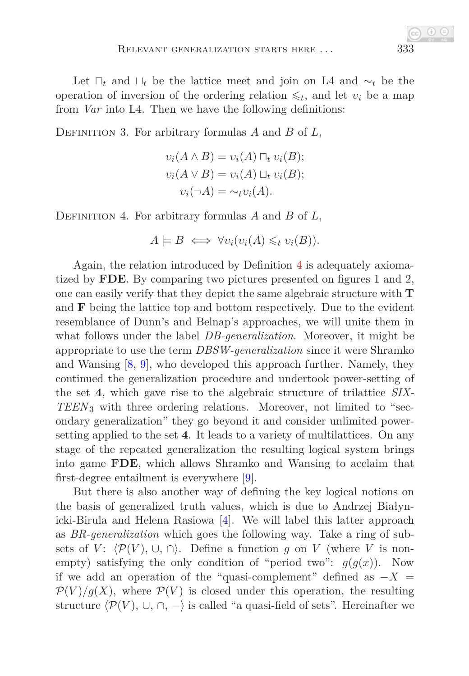Let ⊓*<sup>t</sup>* and ⊔*<sup>t</sup>* be the lattice meet and join on L4 and ∼*<sup>t</sup>* be the operation of inversion of the ordering relation  $\leq t$ , and let  $v_i$  be a map from *Var* into L4. Then we have the following definitions:

Definition 3. For arbitrary formulas *A* and *B* of *L*,

$$
v_i(A \wedge B) = v_i(A) \sqcap_t v_i(B);
$$
  

$$
v_i(A \vee B) = v_i(A) \sqcup_t v_i(B);
$$
  

$$
v_i(\neg A) = \sim_t v_i(A).
$$

<span id="page-4-0"></span>Definition 4. For arbitrary formulas *A* and *B* of *L*,

$$
A \models B \iff \forall v_i (v_i(A) \leq t \ v_i(B)).
$$

Again, the relation introduced by Definition [4](#page-4-0) is adequately axiomatized by **FDE**. By comparing two pictures presented on figures 1 and 2, one can easily verify that they depict the same algebraic structure with **T** and **F** being the lattice top and bottom respectively. Due to the evident resemblance of Dunn's and Belnap's approaches, we will unite them in what follows under the label *DB-generalization*. Moreover, it might be appropriate to use the term *DBSW-generalization* since it were Shramko and Wansing [\[8,](#page-11-0) [9\]](#page-11-6), who developed this approach further. Namely, they continued the generalization procedure and undertook power-setting of the set **4**, which gave rise to the algebraic structure of trilattice *SIX-TEEN*3 with three ordering relations. Moreover, not limited to "secondary generalization" they go beyond it and consider unlimited powersetting applied to the set **4**. It leads to a variety of multilattices. On any stage of the repeated generalization the resulting logical system brings into game **FDE**, which allows Shramko and Wansing to acclaim that first-degree entailment is everywhere [\[9\]](#page-11-6).

But there is also another way of defining the key logical notions on the basis of generalized truth values, which is due to Andrzej Białynicki-Birula and Helena Rasiowa [\[4\]](#page-11-7). We will label this latter approach as *BR-generalization* which goes the following way. Take a ring of subsets of *V*:  $\langle \mathcal{P}(V), \cup, \cap \rangle$ . Define a function *g* on *V* (where *V* is nonempty) satisfying the only condition of "period two":  $g(g(x))$ . Now if we add an operation of the "quasi-complement" defined as  $-X =$  $\mathcal{P}(V)/g(X)$ , where  $\mathcal{P}(V)$  is closed under this operation, the resulting structure  $\langle \mathcal{P}(V), \cup, \cap, - \rangle$  is called "a quasi-field of sets". Hereinafter we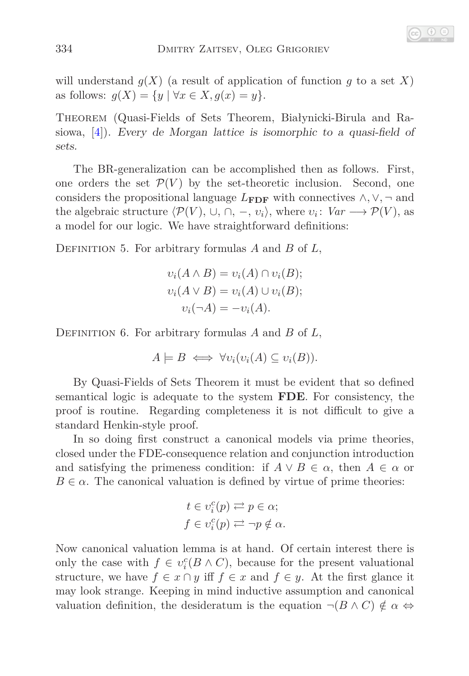will understand  $g(X)$  (a result of application of function  $g$  to a set  $X$ ) as follows:  $g(X) = \{y \mid \forall x \in X, g(x) = y\}.$ 

Theorem (Quasi-Fields of Sets Theorem, Białynicki-Birula and Rasiowa, [\[4\]](#page-11-7)). Every de Morgan lattice is isomorphic to a quasi-field of sets.

The BR-generalization can be accomplished then as follows. First, one orders the set  $\mathcal{P}(V)$  by the set-theoretic inclusion. Second, one considers the propositional language  $L_{\text{FDF}}$  with connectives  $\wedge$ ,  $\vee$ ,  $\neg$  and the algebraic structure  $\langle \mathcal{P}(V), \cup, \cap, -, v_i \rangle$ , where  $v_i \colon Var \longrightarrow \mathcal{P}(V)$ , as a model for our logic. We have straightforward definitions:

<span id="page-5-0"></span>Definition 5. For arbitrary formulas *A* and *B* of *L*,

$$
v_i(A \wedge B) = v_i(A) \cap v_i(B);
$$
  

$$
v_i(A \vee B) = v_i(A) \cup v_i(B);
$$
  

$$
v_i(\neg A) = -v_i(A).
$$

<span id="page-5-1"></span>Definition 6. For arbitrary formulas *A* and *B* of *L*,

$$
A \models B \iff \forall v_i (v_i(A) \subseteq v_i(B)).
$$

By Quasi-Fields of Sets Theorem it must be evident that so defined semantical logic is adequate to the system **FDE**. For consistency, the proof is routine. Regarding completeness it is not difficult to give a standard Henkin-style proof.

In so doing first construct a canonical models via prime theories, closed under the FDE-consequence relation and conjunction introduction and satisfying the primeness condition: if  $A \lor B \in \alpha$ , then  $A \in \alpha$  or  $B \in \alpha$ . The canonical valuation is defined by virtue of prime theories:

$$
t \in \upsilon_i^c(p) \rightleftarrows p \in \alpha;
$$
  

$$
f \in \upsilon_i^c(p) \rightleftarrows \neg p \notin \alpha.
$$

Now canonical valuation lemma is at hand. Of certain interest there is only the case with  $f \in v_i^c(B \wedge C)$ , because for the present valuational structure, we have  $f \in x \cap y$  iff  $f \in x$  and  $f \in y$ . At the first glance it may look strange. Keeping in mind inductive assumption and canonical valuation definition, the desideratum is the equation  $\neg (B \land C) \notin \alpha \Leftrightarrow$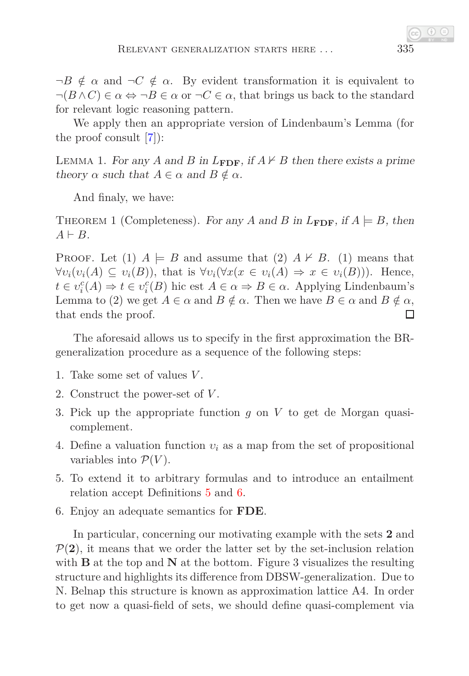$\neg B \notin \alpha$  and  $\neg C \notin \alpha$ . By evident transformation it is equivalent to  $\neg(B \land C) \in \alpha \Leftrightarrow \neg B \in \alpha$  or  $\neg C \in \alpha$ , that brings us back to the standard for relevant logic reasoning pattern.

We apply then an appropriate version of Lindenbaum's Lemma (for the proof consult [\[7\]](#page-11-8)):

LEMMA 1. For any *A* and *B* in  $L_{\text{FDF}}$ , if  $A \nvdash B$  then there exists a prime theory  $\alpha$  such that  $A \in \alpha$  and  $B \notin \alpha$ .

And finaly, we have:

THEOREM 1 (Completeness). For any *A* and *B* in  $L_{\text{FDF}}$ , if  $A \models B$ , then  $A \vdash B$ .

**PROOF.** Let (1)  $A \models B$  and assume that (2)  $A \not\models B$ . (1) means that  $\forall v_i(v_i(A) \subseteq v_i(B))$ , that is  $\forall v_i(\forall x(x \in v_i(A) \Rightarrow x \in v_i(B))$ . Hence,  $t \in v_i^c(A) \Rightarrow t \in v_i^c(B)$  hic est  $A \in \alpha \Rightarrow B \in \alpha$ . Applying Lindenbaum's Lemma to (2) we get  $A \in \alpha$  and  $B \notin \alpha$ . Then we have  $B \in \alpha$  and  $B \notin \alpha$ , that ends the proof. П

The aforesaid allows us to specify in the first approximation the BRgeneralization procedure as a sequence of the following steps:

- 1. Take some set of values *V* .
- 2. Construct the power-set of *V* .
- 3. Pick up the appropriate function *g* on *V* to get de Morgan quasicomplement.
- 4. Define a valuation function *υ<sup>i</sup>* as a map from the set of propositional variables into  $\mathcal{P}(V)$ .
- 5. To extend it to arbitrary formulas and to introduce an entailment relation accept Definitions [5](#page-5-0) and [6.](#page-5-1)
- 6. Enjoy an adequate semantics for **FDE**.

In particular, concerning our motivating example with the sets **2** and  $P(2)$ , it means that we order the latter set by the set-inclusion relation with **B** at the top and **N** at the bottom. Figure 3 visualizes the resulting structure and highlights its difference from DBSW-generalization. Due to N. Belnap this structure is known as approximation lattice A4. In order to get now a quasi-field of sets, we should define quasi-complement via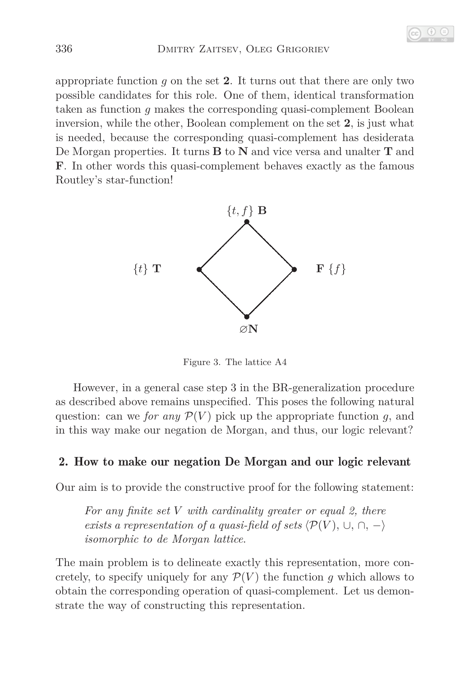appropriate function *g* on the set **2**. It turns out that there are only two possible candidates for this role. One of them, identical transformation taken as function *g* makes the corresponding quasi-complement Boolean inversion, while the other, Boolean complement on the set **2**, is just what is needed, because the corresponding quasi-complement has desiderata De Morgan properties. It turns **B** to **N** and vice versa and unalter **T** and **F**. In other words this quasi-complement behaves exactly as the famous Routley's star-function!



Figure 3. The lattice A4

However, in a general case step 3 in the BR-generalization procedure as described above remains unspecified. This poses the following natural question: can we *for any*  $\mathcal{P}(V)$  pick up the appropriate function *g*, and in this way make our negation de Morgan, and thus, our logic relevant?

## 2. How to make our negation De Morgan and our logic relevant

Our aim is to provide the constructive proof for the following statement:

*For any finite set V with cardinality greater or equal 2, there exists a representation of a quasi-field of sets*  $\langle \mathcal{P}(V), \cup, \cap, - \rangle$ *isomorphic to de Morgan lattice*.

The main problem is to delineate exactly this representation, more concretely, to specify uniquely for any  $\mathcal{P}(V)$  the function g which allows to obtain the corresponding operation of quasi-complement. Let us demonstrate the way of constructing this representation.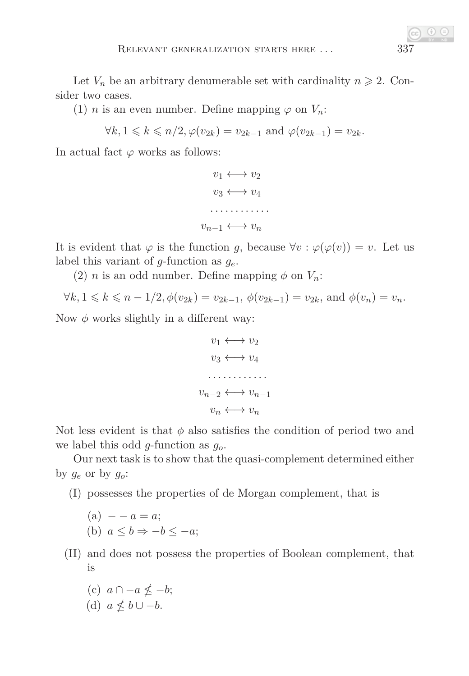Let  $V_n$  be an arbitrary denumerable set with cardinality  $n \geq 2$ . Consider two cases.

(1) *n* is an even number. Define mapping  $\varphi$  on  $V_n$ :

$$
\forall k, 1 \leqslant k \leqslant n/2, \varphi(v_{2k}) = v_{2k-1} \text{ and } \varphi(v_{2k-1}) = v_{2k}.
$$

In actual fact  $\varphi$  works as follows:

$$
v_1 \longleftrightarrow v_2
$$

$$
v_3 \longleftrightarrow v_4
$$

$$
\dots \dots \dots \dots
$$

$$
v_{n-1} \longleftrightarrow v_n
$$

It is evident that  $\varphi$  is the function *g*, because  $\forall v : \varphi(\varphi(v)) = v$ . Let us label this variant of *g*-function as *ge*.

(2) *n* is an odd number. Define mapping  $\phi$  on  $V_n$ :

$$
\forall k, 1 \leq k \leq n-1/2, \phi(v_{2k}) = v_{2k-1}, \phi(v_{2k-1}) = v_{2k}, \text{ and } \phi(v_n) = v_n.
$$

Now  $\phi$  works slightly in a different way:

$$
v_1 \longleftrightarrow v_2
$$

$$
v_3 \longleftrightarrow v_4
$$

$$
\dots \dots \dots
$$

$$
v_{n-2} \longleftrightarrow v_{n-1}
$$

$$
v_n \longleftrightarrow v_n
$$

Not less evident is that  $\phi$  also satisfies the condition of period two and we label this odd *g*-function as *go*.

Our next task is to show that the quasi-complement determined either by  $g_e$  or by  $g_o$ :

(I) possesses the properties of de Morgan complement, that is

(a) 
$$
-a = a;
$$
  
\n(b)  $a \le b \Rightarrow -b \le -a;$ 

- (II) and does not possess the properties of Boolean complement, that is
	- $(c)$   $a \cap -a \nleq -b;$
	- (d)  $a \nleq b \cup -b$ .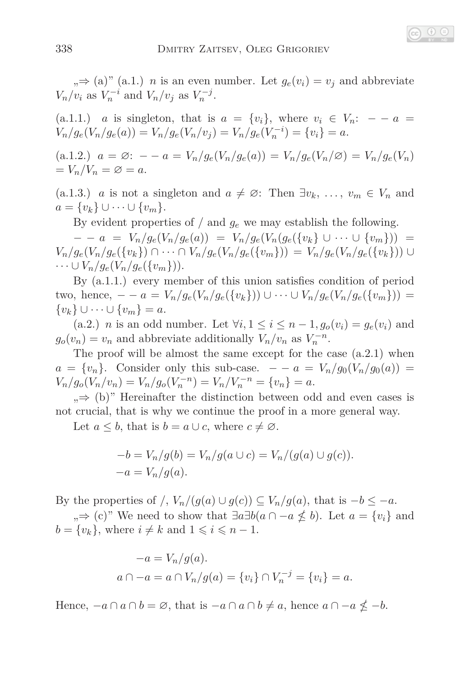$, \Rightarrow$  (a)" (a.1.) *n* is an even number. Let  $g_e(v_i) = v_j$  and abbreviate  $V_n/v_i$  as  $V_n^{-i}$  and  $V_n/v_j$  as  $V_n^{-j}$ .

(a.1.1.) *a* is singleton, that is  $a = \{v_i\}$ , where  $v_i \in V_n$ :  $- a =$  $V_n/g_e(V_n/g_e(a)) = V_n/g_e(V_n/v_j) = V_n/g_e(V_n^{-i}) = \{v_i\} = a.$ 

(a.1.2.)  $a = \emptyset$ :  $- - a = V_n/g_e(V_n/g_e(a)) = V_n/g_e(V_n/\emptyset) = V_n/g_e(V_n)$  $= V_n/V_n = \varnothing = a.$ 

(a.1.3.) *a* is not a singleton and  $a \neq \emptyset$ : Then  $\exists v_k, \ldots, v_m \in V_n$  and *a* = {*v*<sup>*k*</sup>}∪ ···∪ {*v*<sub>*m*</sub>}.

By evident properties of  $/$  and  $g_e$  we may establish the following.

 $- - a = V_n/g_e(V_n/g_e(a)) = V_n/g_e(V_n(g_e({v_k} \cup \cdots \cup {v_m})))$  $V_n/g_e(V_n/g_e({v_k}) \cap \cdots \cap V_n/g_e(V_n/g_e({v_m}))) = V_n/g_e(V_n/g_e({v_k}))$  $\dots \cup V_n/g_e(V_n/g_e({v_m})).$ 

By (a.1.1.) every member of this union satisfies condition of period  $t_{\text{two, hence, } -a = V_n/g_e(V_n/g_e(\{v_k\})) \cup \cdots \cup V_n/g_e(V_n/g_e(\{v_m\}))$ { $v_k$ } ∪ · · · ∪ { $v_m$ } = *a*.

(a.2.) *n* is an odd number. Let  $\forall i, 1 \leq i \leq n-1, g_o(v_i) = g_e(v_i)$  and  $g_o(v_n) = v_n$  and abbreviate additionally  $V_n/v_n$  as  $V_n^{-n}$ .

The proof will be almost the same except for the case (a.2.1) when  $a = \{v_n\}$ . Consider only this sub-case.  $- - a = V_n/g_0(V_n/g_0(a))$  $V_n/g_o(V_n/v_n) = V_n/g_o(V_n^{-n}) = V_n/V_n^{-n} = \{v_n\} = a.$ 

 $, \Rightarrow$  (b)" Hereinafter the distinction between odd and even cases is not crucial, that is why we continue the proof in a more general way.

Let  $a \leq b$ , that is  $b = a \cup c$ , where  $c \neq \emptyset$ .

$$
-b = V_n/g(b) = V_n/g(a \cup c) = V_n/(g(a) \cup g(c)).
$$
  

$$
-a = V_n/g(a).
$$

By the properties of */*,  $V_n/(g(a) \cup g(c)) \subseteq V_n/g(a)$ , that is  $-b \leq -a$ .

 $\Rightarrow$  (c)" We need to show that  $\exists a \exists b (a \cap -a \nleq b)$ . Let  $a = \{v_i\}$  and  $b = \{v_k\}$ , where  $i \neq k$  and  $1 \leq i \leq n - 1$ .

$$
-a = V_n/g(a).
$$
  

$$
a \cap -a = a \cap V_n/g(a) = \{v_i\} \cap V_n^{-j} = \{v_i\} = a.
$$

Hence,  $-a \cap a \cap b = \emptyset$ , that is  $-a \cap a \cap b \neq a$ , hence  $a \cap a \nleq -b$ .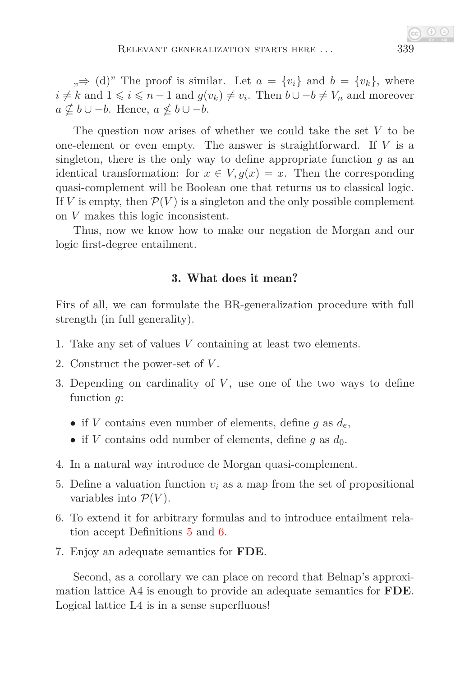$v_n \Rightarrow$  (d)" The proof is similar. Let  $a = \{v_i\}$  and  $b = \{v_k\}$ , where  $i \neq k$  and  $1 \leq i \leq n-1$  and  $g(v_k) \neq v_i$ . Then  $b \cup -b \neq V_n$  and moreover *a*  $\nsubseteq$  *b* ∪ −*b*. Hence, *a*  $\nleq$  *b* ∪ −*b*.

The question now arises of whether we could take the set *V* to be one-element or even empty. The answer is straightforward. If *V* is a singleton, there is the only way to define appropriate function *g* as an identical transformation: for  $x \in V$ ,  $g(x) = x$ . Then the corresponding quasi-complement will be Boolean one that returns us to classical logic. If *V* is empty, then  $\mathcal{P}(V)$  is a singleton and the only possible complement on *V* makes this logic inconsistent.

Thus, now we know how to make our negation de Morgan and our logic first-degree entailment.

## 3. What does it mean?

Firs of all, we can formulate the BR-generalization procedure with full strength (in full generality).

- 1. Take any set of values *V* containing at least two elements.
- 2. Construct the power-set of *V* .
- 3. Depending on cardinality of *V*, use one of the two ways to define function *g*:
	- if *V* contains even number of elements, define *g* as *de*,
	- if *V* contains odd number of elements, define  $g$  as  $d_0$ .
- 4. In a natural way introduce de Morgan quasi-complement.
- 5. Define a valuation function  $v_i$  as a map from the set of propositional variables into  $\mathcal{P}(V)$ .
- 6. To extend it for arbitrary formulas and to introduce entailment relation accept Definitions [5](#page-5-0) and [6.](#page-5-1)
- 7. Enjoy an adequate semantics for **FDE**.

Second, as a corollary we can place on record that Belnap's approximation lattice A4 is enough to provide an adequate semantics for **FDE**. Logical lattice L4 is in a sense superfluous!